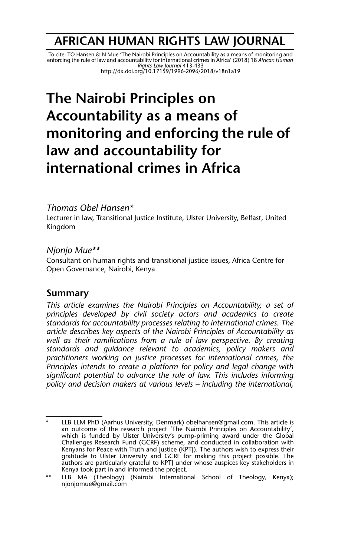## **AFRICAN HUMAN RIGHTS LAW JOURNAL**

To cite: TO Hansen & N Mue 'The Nairobi Principles on Accountability as a means of monitoring and<br>enforcing the rule of law and accountability for international crimes in Africa' (2018) 18 *African Human*<br>Rights Law Journ http://dx.doi.org/10.17159/1996-2096/2018/v18n1a19

# **The Nairobi Principles on Accountability as a means of monitoring and enforcing the rule of law and accountability for international crimes in Africa**

## *Thomas Obel Hansen\**

Lecturer in law, Transitional Justice Institute, Ulster University, Belfast, United Kingdom

## *Njonjo Mue\*\**

Consultant on human rights and transitional justice issues, Africa Centre for Open Governance, Nairobi, Kenya

## **Summary**

*This article examines the Nairobi Principles on Accountability, a set of principles developed by civil society actors and academics to create standards for accountability processes relating to international crimes. The article describes key aspects of the Nairobi Principles of Accountability as well as their ramifications from a rule of law perspective. By creating standards and guidance relevant to academics, policy makers and practitioners working on justice processes for international crimes, the Principles intends to create a platform for policy and legal change with significant potential to advance the rule of law. This includes informing policy and decision makers at various levels – including the international,*

<sup>\*</sup> LLB LLM PhD (Aarhus University, Denmark) obelhansen@gmail.com. This article is an outcome of the research project 'The Nairobi Principles on Accountability', which is funded by Ulster University's pump-priming award under the Global Challenges Research Fund (GCRF) scheme, and conducted in collaboration with Kenyans for Peace with Truth and Justice (KPTJ). The authors wish to express their gratitude to Ulster University and GCRF for making this project possible. The authors are particularly grateful to KPTJ under whose auspices key stakeholders in Kenya took part in and informed the project.

<sup>\*\*</sup> LLB MA (Theology) (Nairobi International School of Theology, Kenya); njonjomue@gmail.com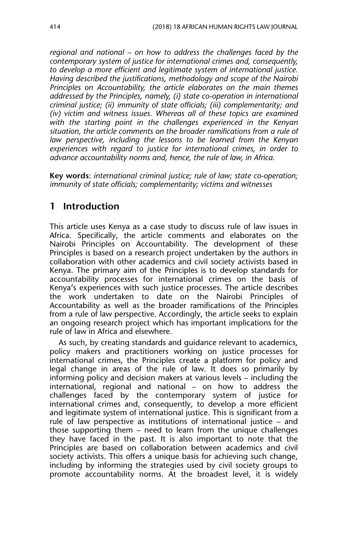*regional and national – on how to address the challenges faced by the contemporary system of justice for international crimes and, consequently, to develop a more efficient and legitimate system of international justice. Having described the justifications, methodology and scope of the Nairobi Principles on Accountability, the article elaborates on the main themes addressed by the Principles, namely, (i) state co-operation in international criminal justice; (ii) immunity of state officials; (iii) complementarity; and (iv) victim and witness issues. Whereas all of these topics are examined with the starting point in the challenges experienced in the Kenyan situation, the article comments on the broader ramifications from a rule of law perspective, including the lessons to be learned from the Kenyan experiences with regard to justice for international crimes, in order to advance accountability norms and, hence, the rule of law, in Africa.*

**Key words**: *international criminal justice; rule of law; state co-operation; immunity of state officials; complementarity; victims and witnesses*

## **1 Introduction**

This article uses Kenya as a case study to discuss rule of law issues in Africa. Specifically, the article comments and elaborates on the Nairobi Principles on Accountability. The development of these Principles is based on a research project undertaken by the authors in collaboration with other academics and civil society activists based in Kenya. The primary aim of the Principles is to develop standards for accountability processes for international crimes on the basis of Kenya's experiences with such justice processes. The article describes the work undertaken to date on the Nairobi Principles of Accountability as well as the broader ramifications of the Principles from a rule of law perspective. Accordingly, the article seeks to explain an ongoing research project which has important implications for the rule of law in Africa and elsewhere.

As such, by creating standards and guidance relevant to academics, policy makers and practitioners working on justice processes for international crimes, the Principles create a platform for policy and legal change in areas of the rule of law. It does so primarily by informing policy and decision makers at various levels – including the international, regional and national – on how to address the challenges faced by the contemporary system of justice for international crimes and, consequently, to develop a more efficient and legitimate system of international justice. This is significant from a rule of law perspective as institutions of international justice – and those supporting them – need to learn from the unique challenges they have faced in the past. It is also important to note that the Principles are based on collaboration between academics and civil society activists. This offers a unique basis for achieving such change, including by informing the strategies used by civil society groups to promote accountability norms. At the broadest level, it is widely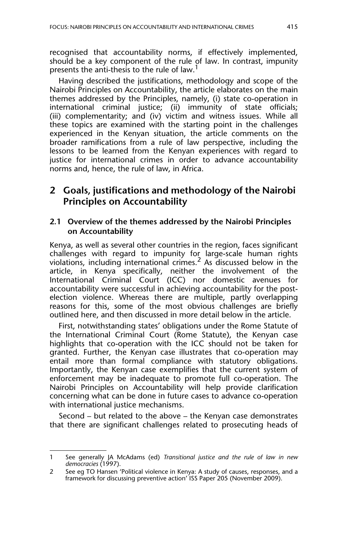recognised that accountability norms, if effectively implemented, should be a key component of the rule of law. In contrast, impunity presents the anti-thesis to the rule of law.<sup>1</sup>

Having described the justifications, methodology and scope of the Nairobi Principles on Accountability, the article elaborates on the main themes addressed by the Principles, namely, (i) state co-operation in international criminal justice; (ii) immunity of state officials; (iii) complementarity; and (iv) victim and witness issues. While all these topics are examined with the starting point in the challenges experienced in the Kenyan situation, the article comments on the broader ramifications from a rule of law perspective, including the lessons to be learned from the Kenyan experiences with regard to justice for international crimes in order to advance accountability norms and, hence, the rule of law, in Africa.

## **2 Goals, justifications and methodology of the Nairobi Principles on Accountability**

#### **2.1 Overview of the themes addressed by the Nairobi Principles on Accountability**

Kenya, as well as several other countries in the region, faces significant challenges with regard to impunity for large-scale human rights violations, including international crimes.<sup>2</sup> As discussed below in the article, in Kenya specifically, neither the involvement of the International Criminal Court (ICC) nor domestic avenues for accountability were successful in achieving accountability for the postelection violence. Whereas there are multiple, partly overlapping reasons for this, some of the most obvious challenges are briefly outlined here, and then discussed in more detail below in the article.

First, notwithstanding states' obligations under the Rome Statute of the International Criminal Court (Rome Statute), the Kenyan case highlights that co-operation with the ICC should not be taken for granted. Further, the Kenyan case illustrates that co-operation may entail more than formal compliance with statutory obligations. Importantly, the Kenyan case exemplifies that the current system of enforcement may be inadequate to promote full co-operation. The Nairobi Principles on Accountability will help provide clarification concerning what can be done in future cases to advance co-operation with international justice mechanisms.

Second – but related to the above – the Kenyan case demonstrates that there are significant challenges related to prosecuting heads of

<sup>1</sup> See generally JA McAdams (ed) *Transitional justice and the rule of law in new democracies* (1997).

<sup>2</sup> See eg TO Hansen 'Political violence in Kenya: A study of causes, responses, and a framework for discussing preventive action' ISS Paper 205 (November 2009).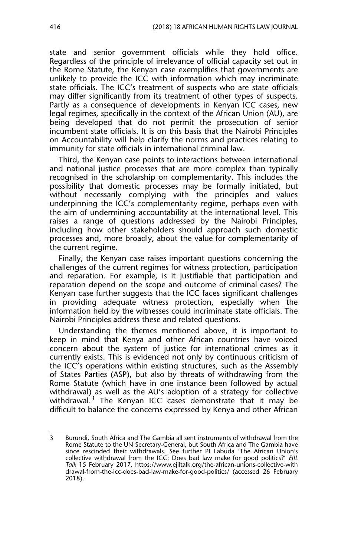state and senior government officials while they hold office. Regardless of the principle of irrelevance of official capacity set out in the Rome Statute, the Kenyan case exemplifies that governments are unlikely to provide the ICC with information which may incriminate state officials. The ICC's treatment of suspects who are state officials may differ significantly from its treatment of other types of suspects. Partly as a consequence of developments in Kenyan ICC cases, new legal regimes, specifically in the context of the African Union (AU), are being developed that do not permit the prosecution of senior incumbent state officials. It is on this basis that the Nairobi Principles on Accountability will help clarify the norms and practices relating to immunity for state officials in international criminal law.

Third, the Kenyan case points to interactions between international and national justice processes that are more complex than typically recognised in the scholarship on complementarity. This includes the possibility that domestic processes may be formally initiated, but without necessarily complying with the principles and values underpinning the ICC's complementarity regime, perhaps even with the aim of undermining accountability at the international level. This raises a range of questions addressed by the Nairobi Principles, including how other stakeholders should approach such domestic processes and, more broadly, about the value for complementarity of the current regime.

Finally, the Kenyan case raises important questions concerning the challenges of the current regimes for witness protection, participation and reparation. For example, is it justifiable that participation and reparation depend on the scope and outcome of criminal cases? The Kenyan case further suggests that the ICC faces significant challenges in providing adequate witness protection, especially when the information held by the witnesses could incriminate state officials. The Nairobi Principles address these and related questions.

Understanding the themes mentioned above, it is important to keep in mind that Kenya and other African countries have voiced concern about the system of justice for international crimes as it currently exists. This is evidenced not only by continuous criticism of the ICC's operations within existing structures, such as the Assembly of States Parties (ASP), but also by threats of withdrawing from the Rome Statute (which have in one instance been followed by actual withdrawal) as well as the AU's adoption of a strategy for collective withdrawal. $3 \text{ The Kenyan ICC cases demonstrate that it may be...}$ difficult to balance the concerns expressed by Kenya and other African

<sup>3</sup> Burundi, South Africa and The Gambia all sent instruments of withdrawal from the Rome Statute to the UN Secretary-General, but South Africa and The Gambia have since rescinded their withdrawals. See further PI Labuda 'The African Union's collective withdrawal from the ICC: Does bad law make for good politics?' *EJIL Talk* 15 February 2017, https://www.ejiltalk.org/the-african-unions-collective-with drawal-from-the-icc-does-bad-law-make-for-good-politics/ (accessed 26 February 2018).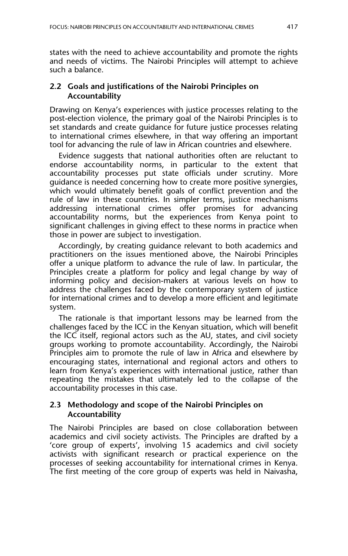states with the need to achieve accountability and promote the rights and needs of victims. The Nairobi Principles will attempt to achieve such a balance.

#### **2.2 Goals and justifications of the Nairobi Principles on Accountability**

Drawing on Kenya's experiences with justice processes relating to the post-election violence, the primary goal of the Nairobi Principles is to set standards and create guidance for future justice processes relating to international crimes elsewhere, in that way offering an important tool for advancing the rule of law in African countries and elsewhere.

Evidence suggests that national authorities often are reluctant to endorse accountability norms, in particular to the extent that accountability processes put state officials under scrutiny. More guidance is needed concerning how to create more positive synergies, which would ultimately benefit goals of conflict prevention and the rule of law in these countries. In simpler terms, justice mechanisms addressing international crimes offer promises for advancing accountability norms, but the experiences from Kenya point to significant challenges in giving effect to these norms in practice when those in power are subject to investigation.

Accordingly, by creating guidance relevant to both academics and practitioners on the issues mentioned above, the Nairobi Principles offer a unique platform to advance the rule of law. In particular, the Principles create a platform for policy and legal change by way of informing policy and decision-makers at various levels on how to address the challenges faced by the contemporary system of justice for international crimes and to develop a more efficient and legitimate system.

The rationale is that important lessons may be learned from the challenges faced by the ICC in the Kenyan situation, which will benefit the ICC itself, regional actors such as the AU, states, and civil society groups working to promote accountability. Accordingly, the Nairobi Principles aim to promote the rule of law in Africa and elsewhere by encouraging states, international and regional actors and others to learn from Kenya's experiences with international justice, rather than repeating the mistakes that ultimately led to the collapse of the accountability processes in this case.

#### **2.3 Methodology and scope of the Nairobi Principles on Accountability**

The Nairobi Principles are based on close collaboration between academics and civil society activists. The Principles are drafted by a 'core group of experts', involving 15 academics and civil society activists with significant research or practical experience on the processes of seeking accountability for international crimes in Kenya. The first meeting of the core group of experts was held in Naivasha,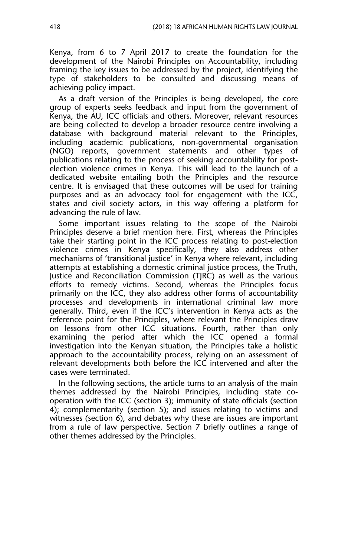Kenya, from 6 to 7 April 2017 to create the foundation for the development of the Nairobi Principles on Accountability, including framing the key issues to be addressed by the project, identifying the type of stakeholders to be consulted and discussing means of achieving policy impact.

As a draft version of the Principles is being developed, the core group of experts seeks feedback and input from the government of Kenya, the AU, ICC officials and others. Moreover, relevant resources are being collected to develop a broader resource centre involving a database with background material relevant to the Principles, including academic publications, non-governmental organisation (NGO) reports, government statements and other types of publications relating to the process of seeking accountability for postelection violence crimes in Kenya. This will lead to the launch of a dedicated website entailing both the Principles and the resource centre. It is envisaged that these outcomes will be used for training purposes and as an advocacy tool for engagement with the ICC, states and civil society actors, in this way offering a platform for advancing the rule of law.

Some important issues relating to the scope of the Nairobi Principles deserve a brief mention here. First, whereas the Principles take their starting point in the ICC process relating to post-election violence crimes in Kenya specifically, they also address other mechanisms of 'transitional justice' in Kenya where relevant, including attempts at establishing a domestic criminal justice process, the Truth, Justice and Reconciliation Commission (TJRC) as well as the various efforts to remedy victims. Second, whereas the Principles focus primarily on the ICC, they also address other forms of accountability processes and developments in international criminal law more generally. Third, even if the ICC's intervention in Kenya acts as the reference point for the Principles, where relevant the Principles draw on lessons from other ICC situations. Fourth, rather than only examining the period after which the ICC opened a formal investigation into the Kenyan situation, the Principles take a holistic approach to the accountability process, relying on an assessment of relevant developments both before the ICC intervened and after the cases were terminated.

In the following sections, the article turns to an analysis of the main themes addressed by the Nairobi Principles, including state cooperation with the ICC (section 3); immunity of state officials (section 4); complementarity (section 5); and issues relating to victims and witnesses (section 6), and debates why these are issues are important from a rule of law perspective. Section 7 briefly outlines a range of other themes addressed by the Principles.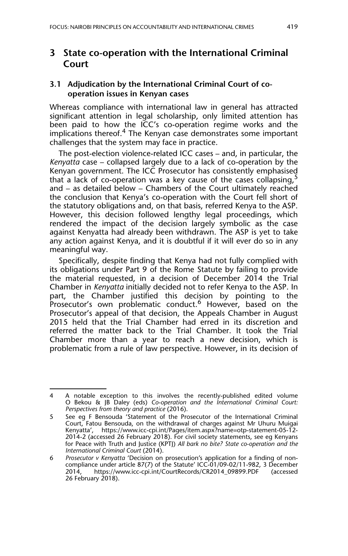## **3 State co-operation with the International Criminal Court**

#### **3.1 Adjudication by the International Criminal Court of cooperation issues in Kenyan cases**

Whereas compliance with international law in general has attracted significant attention in legal scholarship, only limited attention has been paid to how the ICC's co-operation regime works and the implications thereof.<sup>4</sup> The Kenyan case demonstrates some important challenges that the system may face in practice.

The post-election violence-related ICC cases – and, in particular, the *Kenyatta* case – collapsed largely due to a lack of co-operation by the Kenyan government. The ICC Prosecutor has consistently emphasised that a lack of co-operation was a key cause of the cases collapsing, and – as detailed below – Chambers of the Court ultimately reached the conclusion that Kenya's co-operation with the Court fell short of the statutory obligations and, on that basis, referred Kenya to the ASP. However, this decision followed lengthy legal proceedings, which rendered the impact of the decision largely symbolic as the case against Kenyatta had already been withdrawn. The ASP is yet to take any action against Kenya, and it is doubtful if it will ever do so in any meaningful way.

Specifically, despite finding that Kenya had not fully complied with its obligations under Part 9 of the Rome Statute by failing to provide the material requested, in a decision of December 2014 the Trial Chamber in *Kenyatta* initially decided not to refer Kenya to the ASP. In part, the Chamber justified this decision by pointing to the Prosecutor's own problematic conduct.<sup>6</sup> However, based on the Prosecutor's appeal of that decision, the Appeals Chamber in August 2015 held that the Trial Chamber had erred in its discretion and referred the matter back to the Trial Chamber. It took the Trial Chamber more than a year to reach a new decision, which is problematic from a rule of law perspective. However, in its decision of

<sup>4</sup> A notable exception to this involves the recently-published edited volume O Bekou & JB Daley (eds) *Co-operation and the International Criminal Court: Perspectives from theory and practice* (2016).

<sup>5</sup> See eg F Bensouda 'Statement of the Prosecutor of the International Criminal Court, Fatou Bensouda, on the withdrawal of charges against Mr Uhuru Muigai Kenyatta', https://www.icc-cpi.int/Pages/item.aspx?name=otp-statement-05-12- 2014-2 (accessed 26 February 2018). For civil society statements, see eg Kenyans for Peace with Truth and Justice (KPTJ) *All bark no bite? State co-operation and the International Criminal Court* (2014).

<sup>6</sup> *Prosecutor v Kenyatta* 'Decision on prosecution's application for a finding of noncompliance under article 87(7) of the Statute' ICC-01/09-02/11-982, 3 December<br>2014, https://www.icc-cpi.int/CourtRecords/CR2014\_09899.PDF (accessed https://www.icc-cpi.int/CourtRecords/CR2014\_09899.PDF (accessed 26 February 2018).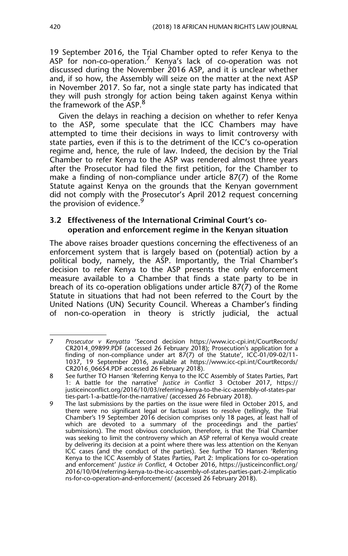19 September 2016, the Trial Chamber opted to refer Kenya to the ASP for non-co-operation.<sup>7</sup> Kenya's lack of co-operation was not discussed during the November 2016 ASP, and it is unclear whether and, if so how, the Assembly will seize on the matter at the next ASP in November 2017. So far, not a single state party has indicated that they will push strongly for action being taken against Kenya within the framework of the ASP.<sup>8</sup>

Given the delays in reaching a decision on whether to refer Kenya to the ASP, some speculate that the ICC Chambers may have attempted to time their decisions in ways to limit controversy with state parties, even if this is to the detriment of the ICC's co-operation regime and, hence, the rule of law. Indeed, the decision by the Trial Chamber to refer Kenya to the ASP was rendered almost three years after the Prosecutor had filed the first petition, for the Chamber to make a finding of non-compliance under article 87(7) of the Rome Statute against Kenya on the grounds that the Kenyan government did not comply with the Prosecutor's April 2012 request concerning the provision of evidence.<sup>5</sup>

#### **3.2 Effectiveness of the International Criminal Court's cooperation and enforcement regime in the Kenyan situation**

The above raises broader questions concerning the effectiveness of an enforcement system that is largely based on (potential) action by a political body, namely, the ASP. Importantly, the Trial Chamber's decision to refer Kenya to the ASP presents the only enforcement measure available to a Chamber that finds a state party to be in breach of its co-operation obligations under article 87(7) of the Rome Statute in situations that had not been referred to the Court by the United Nations (UN) Security Council. Whereas a Chamber's finding of non-co-operation in theory is strictly judicial, the actual

<sup>7</sup> *Prosecutor v Kenyatta* 'Second decision https://www.icc-cpi.int/CourtRecords/ CR2014\_09899.PDF (accessed 26 February 2018); Prosecution's application for a finding of non-compliance under art 87(7) of the Statute', ICC-01/09-02/11- 1037, 19 September 2016, available at https://www.icc-cpi.int/CourtRecords/ CR2016\_06654.PDF accessed 26 February 2018).

<sup>8</sup> See further TO Hansen 'Referring Kenya to the ICC Assembly of States Parties, Part 1: A battle for the narrative' *Justice in Conflict* 3 October 2017, https:// justiceinconflict.org/2016/10/03/referring-kenya-to-the-icc-assembly-of-states-par ties-part-1-a-battle-for-the-narrative/ (accessed 26 February 2018).

<sup>9</sup> The last submissions by the parties on the issue were filed in October 2015, and there were no significant legal or factual issues to resolve (tellingly, the Trial Chamber's 19 September 2016 decision comprises only 18 pages, at least half of which are devoted to a summary of the proceedings and the parties' submissions). The most obvious conclusion, therefore, is that the Trial Chamber was seeking to limit the controversy which an ASP referral of Kenya would create by delivering its decision at a point where there was less attention on the Kenyan ICC cases (and the conduct of the parties). See further TO Hansen 'Referring Kenya to the ICC Assembly of States Parties, Part 2: Implications for co-operation and enforcement' *Justice in Conflict*, 4 October 2016, https://justiceinconflict.org/ 2016/10/04/referring-kenya-to-the-icc-assembly-of-states-parties-part-2-implicatio ns-for-co-operation-and-enforcement/ (accessed 26 February 2018).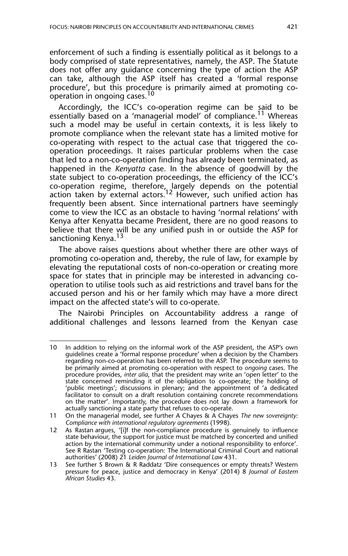enforcement of such a finding is essentially political as it belongs to a body comprised of state representatives, namely, the ASP. The Statute does not offer any guidance concerning the type of action the ASP can take, although the ASP itself has created a 'formal response procedure', but this procedure is primarily aimed at promoting cooperation in ongoing cases.<sup>10</sup>

Accordingly, the ICC's co-operation regime can be said to be essentially based on a 'managerial model' of compliance.<sup>11</sup> Whereas such a model may be useful in certain contexts, it is less likely to promote compliance when the relevant state has a limited motive for co-operating with respect to the actual case that triggered the cooperation proceedings. It raises particular problems when the case that led to a non-co-operation finding has already been terminated, as happened in the *Kenyatta* case. In the absence of goodwill by the state subject to co-operation proceedings, the efficiency of the ICC's co-operation regime, therefore, largely depends on the potential action taken by external actors.<sup>12</sup> However, such unified action has frequently been absent. Since international partners have seemingly come to view the ICC as an obstacle to having 'normal relations' with Kenya after Kenyatta became President, there are no good reasons to believe that there will be any unified push in or outside the ASP for sanctioning Kenya.<sup>13</sup>

The above raises questions about whether there are other ways of promoting co-operation and, thereby, the rule of law, for example by elevating the reputational costs of non-co-operation or creating more space for states that in principle may be interested in advancing cooperation to utilise tools such as aid restrictions and travel bans for the accused person and his or her family which may have a more direct impact on the affected state's will to co-operate.

The Nairobi Principles on Accountability address a range of additional challenges and lessons learned from the Kenyan case

<sup>10</sup> In addition to relying on the informal work of the ASP president, the ASP's own guidelines create a 'formal response procedure' when a decision by the Chambers regarding non-co-operation has been referred to the ASP. The procedure seems to be primarily aimed at promoting co-operation with respect to *ongoing* cases. The procedure provides, *inter alia*, that the president may write an 'open letter' to the state concerned reminding it of the obligation to co-operate; the holding of 'public meetings'; discussions in plenary; and the appointment of 'a dedicated facilitator to consult on a draft resolution containing concrete recommendations on the matter'. Importantly, the procedure does not lay down a framework for actually sanctioning a state party that refuses to co-operate.

<sup>11</sup> On the managerial model, see further A Chayes & A Chayes *The new sovereignty: Compliance with international regulatory agreements* (1998).

<sup>12</sup> As Rastan argues, '[i]f the non-compliance procedure is genuinely to influence state behaviour, the support for justice must be matched by concerted and unified action by the international community under a notional responsibility to enforce'. See R Rastan 'Testing co-operation: The International Criminal Court and national authorities' (2008) 21 *Leiden Journal of International Law* 431.

<sup>13</sup> See further S Brown & R Raddatz 'Dire consequences or empty threats? Western pressure for peace, justice and democracy in Kenya' (2014) 8 *Journal of Eastern African Studies* 43*.*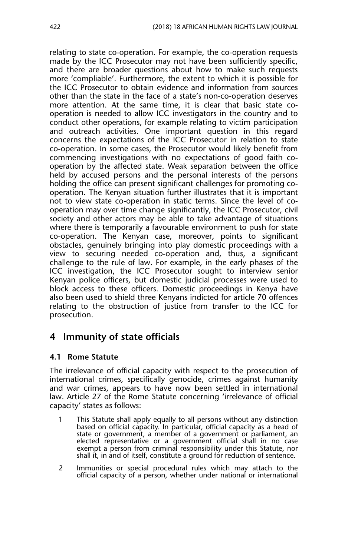relating to state co-operation. For example, the co-operation requests made by the ICC Prosecutor may not have been sufficiently specific, and there are broader questions about how to make such requests more 'compliable'. Furthermore, the extent to which it is possible for the ICC Prosecutor to obtain evidence and information from sources other than the state in the face of a state's non-co-operation deserves more attention. At the same time, it is clear that basic state cooperation is needed to allow ICC investigators in the country and to conduct other operations, for example relating to victim participation and outreach activities. One important question in this regard concerns the expectations of the ICC Prosecutor in relation to state co-operation. In some cases, the Prosecutor would likely benefit from commencing investigations with no expectations of good faith cooperation by the affected state. Weak separation between the office held by accused persons and the personal interests of the persons holding the office can present significant challenges for promoting cooperation. The Kenyan situation further illustrates that it is important not to view state co-operation in static terms. Since the level of cooperation may over time change significantly, the ICC Prosecutor, civil society and other actors may be able to take advantage of situations where there is temporarily a favourable environment to push for state co-operation. The Kenyan case, moreover, points to significant obstacles, genuinely bringing into play domestic proceedings with a view to securing needed co-operation and, thus, a significant challenge to the rule of law. For example, in the early phases of the ICC investigation, the ICC Prosecutor sought to interview senior Kenyan police officers, but domestic judicial processes were used to block access to these officers. Domestic proceedings in Kenya have also been used to shield three Kenyans indicted for article 70 offences relating to the obstruction of justice from transfer to the ICC for prosecution.

## **4 Immunity of state officials**

## **4.1 Rome Statute**

The irrelevance of official capacity with respect to the prosecution of international crimes, specifically genocide, crimes against humanity and war crimes, appears to have now been settled in international law. Article 27 of the Rome Statute concerning 'irrelevance of official capacity' states as follows:

- 1 This Statute shall apply equally to all persons without any distinction based on official capacity. In particular, official capacity as a head of state or government, a member of a government or parliament, an elected representative or a government official shall in no case exempt a person from criminal responsibility under this Statute, nor shall it, in and of itself, constitute a ground for reduction of sentence.
- 2 Immunities or special procedural rules which may attach to the official capacity of a person, whether under national or international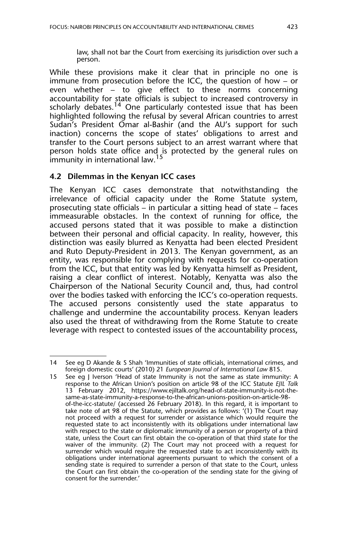While these provisions make it clear that in principle no one is immune from prosecution before the ICC, the question of how – or even whether – to give effect to these norms concerning accountability for state officials is subject to increased controversy in  $s$ cholarly debates.<sup>14</sup> One particularly contested issue that has been highlighted following the refusal by several African countries to arrest Sudan's President Omar al-Bashir (and the AU's support for such inaction) concerns the scope of states' obligations to arrest and transfer to the Court persons subject to an arrest warrant where that person holds state office and is protected by the general rules on immunity in international law.<sup>15</sup>

## **4.2 Dilemmas in the Kenyan ICC cases**

The Kenyan ICC cases demonstrate that notwithstanding the irrelevance of official capacity under the Rome Statute system, prosecuting state officials – in particular a sitting head of state – faces immeasurable obstacles. In the context of running for office, the accused persons stated that it was possible to make a distinction between their personal and official capacity. In reality, however, this distinction was easily blurred as Kenyatta had been elected President and Ruto Deputy-President in 2013. The Kenyan government, as an entity, was responsible for complying with requests for co-operation from the ICC, but that entity was led by Kenyatta himself as President, raising a clear conflict of interest. Notably, Kenyatta was also the Chairperson of the National Security Council and, thus, had control over the bodies tasked with enforcing the ICC's co-operation requests. The accused persons consistently used the state apparatus to challenge and undermine the accountability process. Kenyan leaders also used the threat of withdrawing from the Rome Statute to create leverage with respect to contested issues of the accountability process,

<sup>14</sup> See eg D Akande & S Shah 'Immunities of state officials, international crimes, and foreign domestic courts' (2010) 21 *European Journal of International Law* 815.

<sup>15</sup> See eg J Iverson 'Head of state Immunity is not the same as state immunity: A response to the African Union's position on article 98 of the ICC Statute *EJIL Talk* 13 February 2012, https://www.ejiltalk.org/head-of-state-immunity-is-not-thesame-as-state-immunity-a-response-to-the-african-unions-position-on-article-98 of-the-icc-statute/ (accessed 26 February 2018). In this regard, it is important to take note of art 98 of the Statute, which provides as follows: '(1) The Court may not proceed with a request for surrender or assistance which would require the requested state to act inconsistently with its obligations under international law with respect to the state or diplomatic immunity of a person or property of a third state, unless the Court can first obtain the co-operation of that third state for the waiver of the immunity. (2) The Court may not proceed with a request for surrender which would require the requested state to act inconsistently with its obligations under international agreements pursuant to which the consent of a sending state is required to surrender a person of that state to the Court, unless the Court can first obtain the co-operation of the sending state for the giving of consent for the surrender.'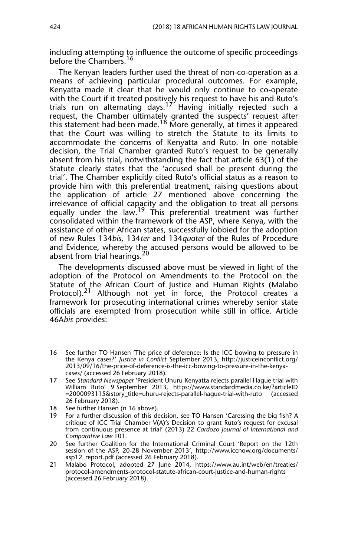including attempting to influence the outcome of specific proceedings before the Chambers.<sup>16</sup>

The Kenyan leaders further used the threat of non-co-operation as a means of achieving particular procedural outcomes. For example, Kenyatta made it clear that he would only continue to co-operate with the Court if it treated positively his request to have his and Ruto's trials run on alternating days.17 Having initially rejected such a request, the Chamber ultimately granted the suspects' request after this statement had been made.<sup>18</sup> More generally, at times it appeared that the Court was willing to stretch the Statute to its limits to accommodate the concerns of Kenyatta and Ruto. In one notable decision, the Trial Chamber granted Ruto's request to be generally absent from his trial, notwithstanding the fact that article 63(1) of the Statute clearly states that the 'accused shall be present during the trial'. The Chamber explicitly cited Ruto's official status as a reason to provide him with this preferential treatment, raising questions about the application of article 27 mentioned above concerning the irrelevance of official capacity and the obligation to treat all persons equally under the law.<sup>19</sup> This preferential treatment was further consolidated within the framework of the ASP, where Kenya, with the assistance of other African states, successfully lobbied for the adoption of new Rules 134*bis*, 134*ter* and 134*quater* of the Rules of Procedure and Evidence, whereby the accused persons would be allowed to be absent from trial hearings.<sup>20</sup>

The developments discussed above must be viewed in light of the adoption of the Protocol on Amendments to the Protocol on the Statute of the African Court of Justice and Human Rights (Malabo Protocol).<sup>21</sup> Although not yet in force, the Protocol creates a framework for prosecuting international crimes whereby senior state officials are exempted from prosecution while still in office. Article 46A*bis* provides:

<sup>16</sup> See further TO Hansen 'The price of deference: Is the ICC bowing to pressure in the Kenya cases?' *Justice in Conflict* September 2013, http://justiceinconflict.org/ 2013/09/16/the-price-of-deference-is-the-icc-bowing-to-pressure-in-the-kenyacases/ (accessed 26 February 2018).

<sup>17</sup> See *Standard Newspaper* 'President Uhuru Kenyatta rejects parallel Hague trial with William Ruto' 9 September 2013, https://www.standardmedia.co.ke/?articleID =2000093115&story\_title=uhuru-rejects-parallel-hague-trial-with-ruto (accessed 26 February 2018).

<sup>18</sup> See further Hansen (n 16 above).

<sup>19</sup> For a further discussion of this decision, see TO Hansen 'Caressing the big fish? A critique of ICC Trial Chamber V(A)'s Decision to grant Ruto's request for excusal from continuous presence at trial' (2013) 22 *Cardozo Journal of International and Comparative Law* 101.

<sup>20</sup> See further Coalition for the International Criminal Court 'Report on the 12th session of the ASP, 20-28 November 2013', http://www.iccnow.org/documents/ asp12\_report.pdf (accessed 26 February 2018).

<sup>21</sup> Malabo Protocol, adopted 27 June 2014, https://www.au.int/web/en/treaties/ protocol-amendments-protocol-statute-african-court-justice-and-human-rights (accessed 26 February 2018).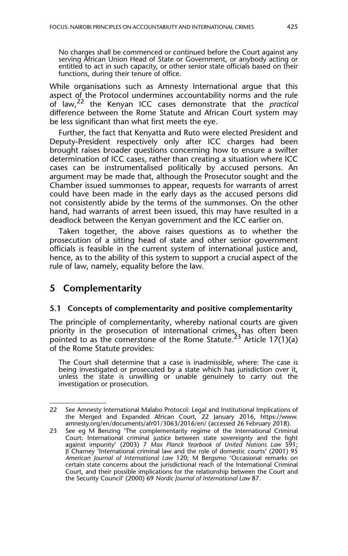No charges shall be commenced or continued before the Court against any serving African Union Head of State or Government, or anybody acting or entitled to act in such capacity, or other senior state officials based on their functions, during their tenure of office.

While organisations such as Amnesty International argue that this aspect of the Protocol undermines accountability norms and the rule of law,22 the Kenyan ICC cases demonstrate that the *practical* difference between the Rome Statute and African Court system may be less significant than what first meets the eye.

Further, the fact that Kenyatta and Ruto were elected President and Deputy-President respectively only after ICC charges had been brought raises broader questions concerning how to ensure a swifter determination of ICC cases, rather than creating a situation where ICC cases can be instrumentalised politically by accused persons. An argument may be made that, although the Prosecutor sought and the Chamber issued summonses to appear, requests for warrants of arrest could have been made in the early days as the accused persons did not consistently abide by the terms of the summonses. On the other hand, had warrants of arrest been issued, this may have resulted in a deadlock between the Kenyan government and the ICC earlier on.

Taken together, the above raises questions as to whether the prosecution of a sitting head of state and other senior government officials is feasible in the current system of international justice and, hence, as to the ability of this system to support a crucial aspect of the rule of law, namely, equality before the law.

## **5 Complementarity**

## **5.1 Concepts of complementarity and positive complementarity**

The principle of complementarity, whereby national courts are given priority in the prosecution of international crimes, has often been pointed to as the cornerstone of the Rome Statute.<sup>23</sup> Article 17(1)(a) of the Rome Statute provides:

The Court shall determine that a case is inadmissible, where: The case is being investigated or prosecuted by a state which has jurisdiction over it, unless the state is unwilling or unable genuinely to carry out the investigation or prosecution.

<sup>22</sup> See Amnesty International Malabo Protocol: Legal and Institutional Implications of the Merged and Expanded African Court, 22 January 2016, https://www. amnesty.org/en/documents/afr01/3063/2016/en/ (accessed 26 February 2018).

<sup>23</sup> See eg M Benzing 'The complementarity regime of the International Criminal Court: International criminal justice between state sovereignty and the fight against impunity' (2003) 7 *Max Planck Yearbook of United Nations Law* 591; JI Charney 'International criminal law and the role of domestic courts' (2001) 95 *American Journal of International Law* 120; M Bergsmo 'Occasional remarks on certain state concerns about the jurisdictional reach of the International Criminal Court, and their possible implications for the relationship between the Court and the Security Council' (2000) 69 *Nordic Journal of International Law* 87.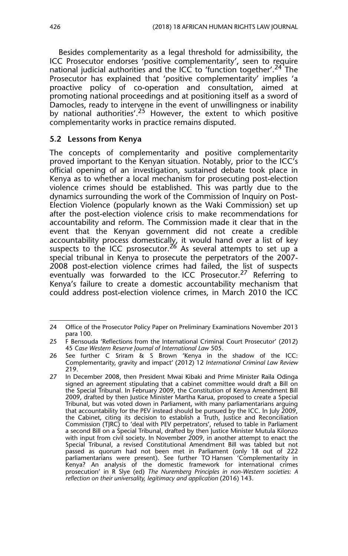Besides complementarity as a legal threshold for admissibility, the ICC Prosecutor endorses 'positive complementarity', seen to require national judicial authorities and the ICC to 'function together'.<sup>24</sup> The Prosecutor has explained that 'positive complementarity' implies 'a proactive policy of co-operation and consultation, aimed at promoting national proceedings and at positioning itself as a sword of Damocles, ready to intervene in the event of unwillingness or inability by national authorities'.<sup>25</sup> However, the extent to which positive complementarity works in practice remains disputed.

#### **5.2 Lessons from Kenya**

The concepts of complementarity and positive complementarity proved important to the Kenyan situation. Notably, prior to the ICC's official opening of an investigation, sustained debate took place in Kenya as to whether a local mechanism for prosecuting post-election violence crimes should be established. This was partly due to the dynamics surrounding the work of the Commission of Inquiry on Post-Election Violence (popularly known as the Waki Commission) set up after the post-election violence crisis to make recommendations for accountability and reform. The Commission made it clear that in the event that the Kenyan government did not create a credible accountability process domestically, it would hand over a list of key suspects to the ICC psrosecutor.<sup>26</sup> As several attempts to set up a special tribunal in Kenya to prosecute the perpetrators of the 2007- 2008 post-election violence crimes had failed, the list of suspects eventually was forwarded to the ICC Prosecutor.<sup>27</sup> Referring to Kenya's failure to create a domestic accountability mechanism that could address post-election violence crimes, in March 2010 the ICC

<sup>24</sup> Office of the Prosecutor Policy Paper on Preliminary Examinations November 2013 para 100.

<sup>25</sup> F Bensouda 'Reflections from the International Criminal Court Prosecutor' (2012) 45 *Case Western Reserve Journal of International Law* 505.

<sup>26</sup> See further C Sriram & S Brown 'Kenya in the shadow of the ICC: Complementarity, gravity and impact' (2012) 12 *International Criminal Law Review* 219.

<sup>27</sup> In December 2008, then President Mwai Kibaki and Prime Minister Raila Odinga signed an agreement stipulating that a cabinet committee would draft a Bill on the Special Tribunal. In February 2009, the Constitution of Kenya Amendment Bill 2009, drafted by then Justice Minister Martha Karua, proposed to create a Special Tribunal, but was voted down in Parliament, with many parliamentarians arguing that accountability for the PEV instead should be pursued by the ICC. In July 2009, the Cabinet, citing its decision to establish a Truth, Justice and Reconciliation Commission (TJRC) to 'deal with PEV perpetrators', refused to table in Parliament a second Bill on a Special Tribunal, drafted by then Justice Minister Mutula Kilonzo with input from civil society. In November 2009, in another attempt to enact the Special Tribunal, a revised Constitutional Amendment Bill was tabled but not passed as quorum had not been met in Parliament (only 18 out of 222 parliamentarians were present). See further TO Hansen 'Complementarity in Kenya? An analysis of the domestic framework for international crimes prosecution' in R Slye (ed) *The Nuremberg Principles in non-Western societies: A reflection on their universality, legitimacy and application* (2016) 143.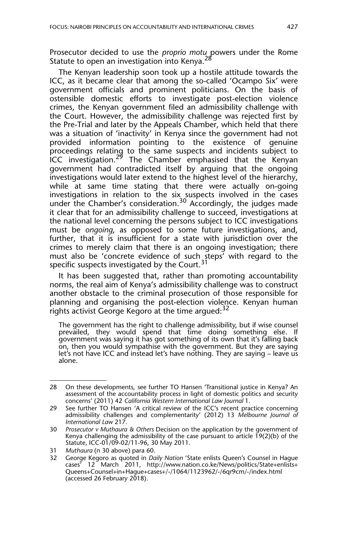Prosecutor decided to use the *proprio motu* powers under the Rome Statute to open an investigation into Kenya.<sup>28</sup>

The Kenyan leadership soon took up a hostile attitude towards the ICC, as it became clear that among the so-called 'Ocampo Six' were government officials and prominent politicians. On the basis of ostensible domestic efforts to investigate post-election violence crimes, the Kenyan government filed an admissibility challenge with the Court. However, the admissibility challenge was rejected first by the Pre-Trial and later by the Appeals Chamber, which held that there was a situation of 'inactivity' in Kenya since the government had not provided information pointing to the existence of genuine proceedings relating to the same suspects and incidents subject to **ICC** investigation.<sup>29</sup> The Chamber emphasised that the Kenyan government had contradicted itself by arguing that the ongoing investigations would later extend to the highest level of the hierarchy, while at same time stating that there were actually on-going investigations in relation to the six suspects involved in the cases under the Chamber's consideration.<sup>30</sup> Accordingly, the judges made it clear that for an admissibility challenge to succeed, investigations at the national level concerning the persons subject to ICC investigations must be *ongoing*, as opposed to some future investigations, and, further, that it is insufficient for a state with jurisdiction over the crimes to merely claim that there is an ongoing investigation; there must also be 'concrete evidence of such steps' with regard to the specific suspects investigated by the Court.<sup>31</sup>

It has been suggested that, rather than promoting accountability norms, the real aim of Kenya's admissibility challenge was to construct another obstacle to the criminal prosecution of those responsible for planning and organising the post-election violence. Kenyan human rights activist George Kegoro at the time arqued:<sup>32</sup>

The government has the right to challenge admissibility, but if wise counsel prevailed, they would spend that time doing something else. If government was saying it has got something of its own that it's falling back on, then you would sympathise with the government. But they are saying let's not have ICC and instead let's have nothing. They are saying – leave us alone.

<sup>28</sup> On these developments, see further TO Hansen 'Transitional justice in Kenya? An assessment of the accountability process in light of domestic politics and security concerns' (2011) 42 *California Western International Law Journal* 1.

<sup>29</sup> See further TO Hansen 'A critical review of the ICC's recent practice concerning admissibility challenges and complementarity' (2012) 13 *Melbourne Journal of International Law* 217.

<sup>30</sup> *Prosecutor v Muthaura & Others* Decision on the application by the government of Kenya challenging the admissibility of the case pursuant to article 19(2)(b) of the Statute, ICC-01/09-02/11-96, 30 May 2011.

<sup>31</sup> *Muthaura* (n 30 above) para 60.

<sup>32</sup> George Kegoro as quoted in *Daily Nation* 'State enlists Queen's Counsel in Hague cases' 12 March 2011, http://www.nation.co.ke/News/politics/State+enlists+ Queens+Counsel+in+Hague+cases+/-/1064/1123962/-/6qr9cm/-/index.html (accessed 26 February 2018).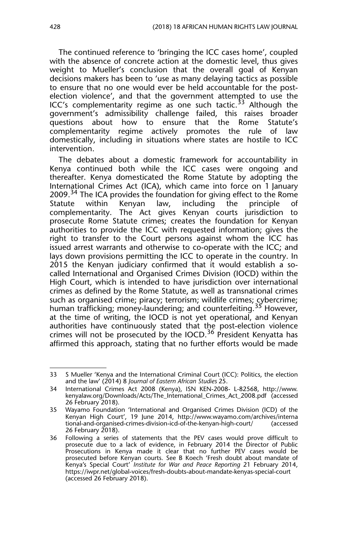The continued reference to 'bringing the ICC cases home', coupled with the absence of concrete action at the domestic level, thus gives weight to Mueller's conclusion that the overall goal of Kenyan decisions makers has been to 'use as many delaying tactics as possible to ensure that no one would ever be held accountable for the postelection violence', and that the government attempted to use the ICC's complementarity regime as one such tactic.<sup>33</sup> Although the government's admissibility challenge failed, this raises broader questions about how to ensure that the Rome Statute's complementarity regime actively promotes the rule of law domestically, including in situations where states are hostile to ICC intervention.

The debates about a domestic framework for accountability in Kenya continued both while the ICC cases were ongoing and thereafter. Kenya domesticated the Rome Statute by adopting the International Crimes Act (ICA), which came into force on 1 January 2009.<sup>34</sup> The ICA provides the foundation for giving effect to the Rome Statute within Kenyan law, including the principle of complementarity. The Act gives Kenyan courts jurisdiction to prosecute Rome Statute crimes; creates the foundation for Kenyan authorities to provide the ICC with requested information; gives the right to transfer to the Court persons against whom the ICC has issued arrest warrants and otherwise to co-operate with the ICC; and lays down provisions permitting the ICC to operate in the country. In 2015 the Kenyan judiciary confirmed that it would establish a socalled International and Organised Crimes Division (IOCD) within the High Court, which is intended to have jurisdiction over international crimes as defined by the Rome Statute, as well as transnational crimes such as organised crime; piracy; terrorism; wildlife crimes; cybercrime; human trafficking; money-laundering; and counterfeiting.35 However, at the time of writing, the IOCD is not yet operational, and Kenyan authorities have continuously stated that the post-election violence crimes will not be prosecuted by the IOCD.<sup>36</sup> President Kenyatta has affirmed this approach, stating that no further efforts would be made

<sup>33</sup> S Mueller 'Kenya and the International Criminal Court (ICC): Politics, the election and the law' (2014) 8 *Journal of Eastern African Studies* 25.

<sup>34</sup> International Crimes Act 2008 (Kenya), ISN KEN-2008- L-82568, http://www. kenyalaw.org/Downloads/Acts/The\_International\_Crimes\_Act\_2008.pdf (accessed 26 February 2018).

<sup>35</sup> Wayamo Foundation 'International and Organised Crimes Division (ICD) of the Kenyan High Court', 19 June 2014, http://www.wayamo.com/archives/interna tional-and-organised-crimes-division-icd-of-the-kenyan-high-court/ (accessed 26 February 2018).

<sup>36</sup> Following a series of statements that the PEV cases would prove difficult to prosecute due to a lack of evidence, in February 2014 the Director of Public Prosecutions in Kenya made it clear that no further PEV cases would be prosecuted before Kenyan courts. See B Koech 'Fresh doubt about mandate of Kenya's Special Court' *Institute for War and Peace Reporting* 21 February 2014, https://iwpr.net/global-voices/fresh-doubts-about-mandate-kenyas-special-court (accessed 26 February 2018).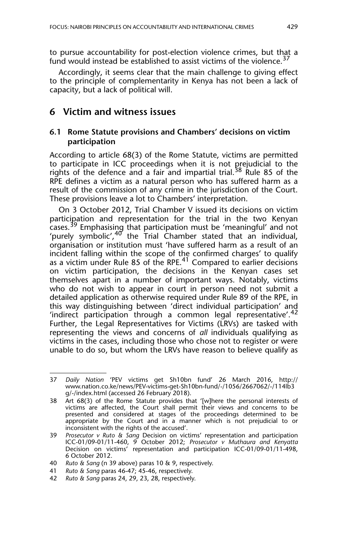to pursue accountability for post-election violence crimes, but that a fund would instead be established to assist victims of the violence.<sup>37</sup>

Accordingly, it seems clear that the main challenge to giving effect to the principle of complementarity in Kenya has not been a lack of capacity, but a lack of political will.

## **6 Victim and witness issues**

## **6.1 Rome Statute provisions and Chambers' decisions on victim participation**

According to article 68(3) of the Rome Statute, victims are permitted to participate in ICC proceedings when it is not prejudicial to the rights of the defence and a fair and impartial trial.<sup>38</sup> Rule 85 of the RPE defines a victim as a natural person who has suffered harm as a result of the commission of any crime in the jurisdiction of the Court. These provisions leave a lot to Chambers' interpretation.

On 3 October 2012, Trial Chamber V issued its decisions on victim participation and representation for the trial in the two Kenyan cases.39 Emphasising that participation must be 'meaningful' and not 'purely symbolic',<sup>40</sup> the Trial Chamber stated that an individual, organisation or institution must 'have suffered harm as a result of an incident falling within the scope of the confirmed charges' to qualify as a victim under Rule 85 of the RPE.<sup>41</sup> Compared to earlier decisions on victim participation, the decisions in the Kenyan cases set themselves apart in a number of important ways. Notably, victims who do not wish to appear in court in person need not submit a detailed application as otherwise required under Rule 89 of the RPE, in this way distinguishing between 'direct individual participation' and 'indirect participation through a common legal representative'.<sup>42</sup> Further, the Legal Representatives for Victims (LRVs) are tasked with representing the views and concerns of *all* individuals qualifying as victims in the cases, including those who chose not to register or were unable to do so, but whom the LRVs have reason to believe qualify as

<sup>37</sup> *Daily Nation* 'PEV victims get Sh10bn fund' 26 March 2016, http:// www.nation.co.ke/news/PEV-victims-get-Sh10bn-fund/-/1056/2667062/-/114lb3 g/-/index.html (accessed 26 February 2018).

<sup>38</sup> Art 68(3) of the Rome Statute provides that '[w]here the personal interests of victims are affected, the Court shall permit their views and concerns to be presented and considered at stages of the proceedings determined to be appropriate by the Court and in a manner which is not prejudicial to or inconsistent with the rights of the accused'.

<sup>39</sup> *Prosecutor v Ruto & Sang* Decision on victims' representation and participation ICC-01/09-01/11-460, 9 October 2012; *Prosecutor v Muthaura and Kenyatta* Decision on victims' representation and participation ICC-01/09-01/11-498, 6 October 2012.

<sup>40</sup> *Ruto & Sang* (n 39 above) paras 10 & 9, respectively.

<sup>41</sup> *Ruto & Sang* paras 46-47; 45-46, respectively.

<sup>42</sup> *Ruto & Sang* paras 24, 29, 23, 28, respectively.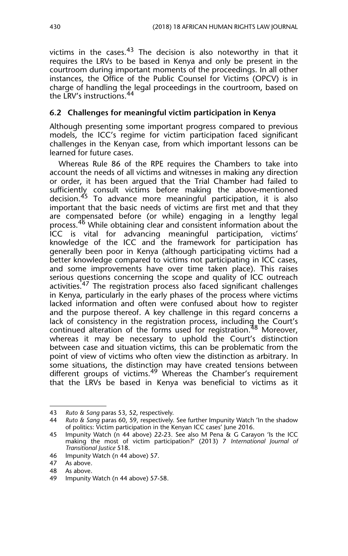victims in the cases. $43$  The decision is also noteworthy in that it requires the LRVs to be based in Kenya and only be present in the courtroom during important moments of the proceedings. In all other instances, the Office of the Public Counsel for Victims (OPCV) is in charge of handling the legal proceedings in the courtroom, based on the LRV's instructions.<sup>44</sup>

## **6.2 Challenges for meaningful victim participation in Kenya**

Although presenting some important progress compared to previous models, the ICC's regime for victim participation faced significant challenges in the Kenyan case, from which important lessons can be learned for future cases.

Whereas Rule 86 of the RPE requires the Chambers to take into account the needs of all victims and witnesses in making any direction or order, it has been argued that the Trial Chamber had failed to sufficiently consult victims before making the above-mentioned decision.<sup>45</sup> To advance more meaningful participation, it is also important that the basic needs of victims are first met and that they are compensated before (or while) engaging in a lengthy legal process.46 While obtaining clear and consistent information about the ICC is vital for advancing meaningful participation, victims' knowledge of the ICC and the framework for participation has generally been poor in Kenya (although participating victims had a better knowledge compared to victims not participating in ICC cases, and some improvements have over time taken place). This raises serious questions concerning the scope and quality of ICC outreach activities.<sup>47</sup> The registration process also faced significant challenges in Kenya, particularly in the early phases of the process where victims lacked information and often were confused about how to register and the purpose thereof. A key challenge in this regard concerns a lack of consistency in the registration process, including the Court's continued alteration of the forms used for registration.48 Moreover, whereas it may be necessary to uphold the Court's distinction between case and situation victims, this can be problematic from the point of view of victims who often view the distinction as arbitrary. In some situations, the distinction may have created tensions between different groups of victims.<sup>49</sup> Whereas the Chamber's requirement that the LRVs be based in Kenya was beneficial to victims as it

<sup>43</sup> *Ruto & Sang* paras 53, 52, respectively.

<sup>44</sup> *Ruto & Sang* paras 60, 59, respectively. See further Impunity Watch 'In the shadow of politics: Victim participation in the Kenyan ICC cases' June 2016.

<sup>45</sup> Impunity Watch (n 44 above) 22-23. See also M Pena & G Carayon 'Is the ICC making the most of victim participation?' (2013) 7 *International Journal of Transitional Justice* 518.

<sup>46</sup> Impunity Watch (n 44 above) 57.

<sup>47</sup> As above.

<sup>48</sup> As above.

<sup>49</sup> Impunity Watch (n 44 above) 57-58.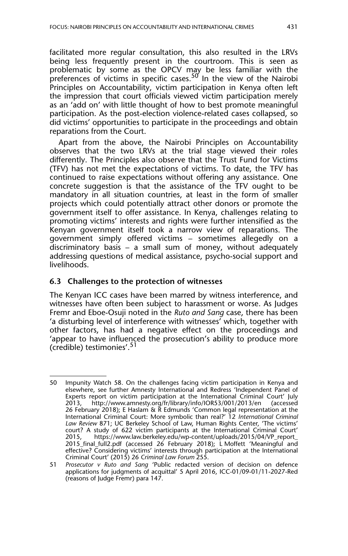facilitated more regular consultation, this also resulted in the LRVs being less frequently present in the courtroom. This is seen as problematic by some as the OPCV may be less familiar with the preferences of victims in specific cases.<sup>50</sup> In the view of the Nairobi Principles on Accountability, victim participation in Kenya often left the impression that court officials viewed victim participation merely as an 'add on' with little thought of how to best promote meaningful participation. As the post-election violence-related cases collapsed, so did victims' opportunities to participate in the proceedings and obtain reparations from the Court.

Apart from the above, the Nairobi Principles on Accountability observes that the two LRVs at the trial stage viewed their roles differently. The Principles also observe that the Trust Fund for Victims (TFV) has not met the expectations of victims. To date, the TFV has continued to raise expectations without offering any assistance. One concrete suggestion is that the assistance of the TFV ought to be mandatory in all situation countries, at least in the form of smaller projects which could potentially attract other donors or promote the government itself to offer assistance. In Kenya, challenges relating to promoting victims' interests and rights were further intensified as the Kenyan government itself took a narrow view of reparations. The government simply offered victims – sometimes allegedly on a discriminatory basis – a small sum of money, without adequately addressing questions of medical assistance, psycho-social support and livelihoods.

#### **6.3 Challenges to the protection of witnesses**

The Kenyan ICC cases have been marred by witness interference, and witnesses have often been subject to harassment or worse. As Judges Fremr and Eboe-Osuji noted in the *Ruto and Sang* case, there has been 'a disturbing level of interference with witnesses' which, together with other factors, has had a negative effect on the proceedings and 'appear to have influenced the prosecution's ability to produce more (credible) testimonies'.51

<sup>50</sup> Impunity Watch 58. On the challenges facing victim participation in Kenya and elsewhere, see further Amnesty International and Redress 'Independent Panel of Experts report on victim participation at the International Criminal Court' July 2013, http://www.amnesty.org/fr/library/info/IOR53/001/2013/en (accessed 26 February 2018); E Haslam & R Edmunds 'Common legal representation at the International Criminal Court: More symbolic than real?' 12 *International Criminal Law Review* 871; UC Berkeley School of Law, Human Rights Center, 'The victims' court? A study of 622 victim participants at the International Criminal Court' 2015, https://www.law.berkeley.edu/wp-content/uploads/2015/04/VP\_report\_ 2015\_final\_full2.pdf (accessed 26 February 2018); L Moffett 'Meaningful and effective? Considering victims' interests through participation at the International Criminal Court' (2015) 26 *Criminal Law Forum* 255.

<sup>51</sup> *Prosecutor v Ruto and Sang* 'Public redacted version of decision on defence applications for judgments of acquittal' 5 April 2016, ICC-01/09-01/11-2027-Red (reasons of Judge Fremr) para 147.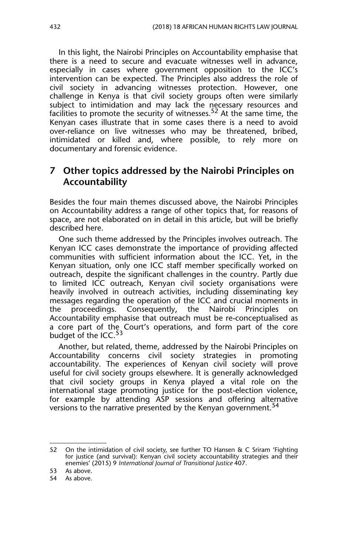In this light, the Nairobi Principles on Accountability emphasise that there is a need to secure and evacuate witnesses well in advance, especially in cases where government opposition to the ICC's intervention can be expected. The Principles also address the role of civil society in advancing witnesses protection. However, one challenge in Kenya is that civil society groups often were similarly subject to intimidation and may lack the necessary resources and facilities to promote the security of witnesses.<sup>52</sup> At the same time, the Kenyan cases illustrate that in some cases there is a need to avoid over-reliance on live witnesses who may be threatened, bribed, intimidated or killed and, where possible, to rely more on documentary and forensic evidence.

## **7 Other topics addressed by the Nairobi Principles on Accountability**

Besides the four main themes discussed above, the Nairobi Principles on Accountability address a range of other topics that, for reasons of space, are not elaborated on in detail in this article, but will be briefly described here.

One such theme addressed by the Principles involves outreach. The Kenyan ICC cases demonstrate the importance of providing affected communities with sufficient information about the ICC. Yet, in the Kenyan situation, only one ICC staff member specifically worked on outreach, despite the significant challenges in the country. Partly due to limited ICC outreach, Kenyan civil society organisations were heavily involved in outreach activities, including disseminating key messages regarding the operation of the ICC and crucial moments in the proceedings. Consequently, the Nairobi Principles on Accountability emphasise that outreach must be re-conceptualised as a core part of the Court's operations, and form part of the core budget of the ICC.<sup>53</sup>

Another, but related, theme, addressed by the Nairobi Principles on Accountability concerns civil society strategies in promoting accountability. The experiences of Kenyan civil society will prove useful for civil society groups elsewhere. It is generally acknowledged that civil society groups in Kenya played a vital role on the international stage promoting justice for the post-election violence, for example by attending ASP sessions and offering alternative versions to the narrative presented by the Kenyan government.<sup>54</sup>

<sup>52</sup> On the intimidation of civil society, see further TO Hansen & C Sriram 'Fighting for justice (and survival): Kenyan civil society accountability strategies and their enemies' (2015) 9 *International Journal of Transitional Justice* 407.

<sup>53</sup> As above.

<sup>54</sup> As above.